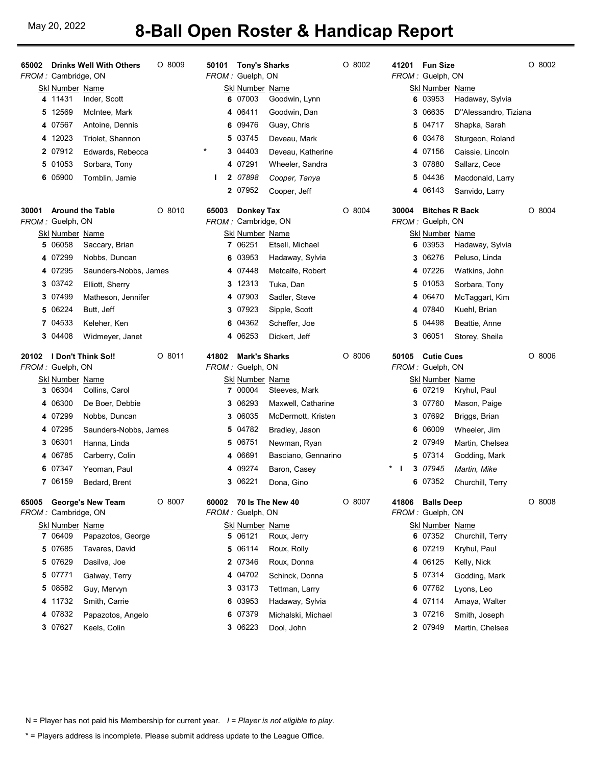## May 20, 2022 **8-Ball Open Roster & Handicap Report**

| <b>Drinks Well With Others</b><br>65002<br>FROM: Cambridge, ON | O 8009<br>50101   | <b>Tony's Sharks</b><br>FROM: Guelph, ON |                            | O 8002   | 41201      | <b>Fun Size</b><br>FROM: Guelph, ON       |                                  | $O$ 8002 |
|----------------------------------------------------------------|-------------------|------------------------------------------|----------------------------|----------|------------|-------------------------------------------|----------------------------------|----------|
| <b>Skl Number Name</b>                                         |                   | Skl Number Name                          |                            |          |            | <b>Skl Number Name</b>                    |                                  |          |
| 4 11431<br>Inder, Scott                                        |                   | 6 07003                                  | Goodwin, Lynn              |          |            | 6 03953                                   | Hadaway, Sylvia                  |          |
| 5 12569<br>McIntee, Mark                                       |                   | 4 06411                                  | Goodwin, Dan               |          |            | 3 06635                                   | D"Alessandro, Tiziana            |          |
| 4 07567<br>Antoine, Dennis                                     |                   | 6 09476                                  | Guay, Chris                |          |            | 5 04717                                   | Shapka, Sarah                    |          |
| 4 12023<br>Triolet, Shannon                                    |                   | 5 03745                                  | Deveau, Mark               |          |            | 6 03478                                   | Sturgeon, Roland                 |          |
| 2 07912<br>Edwards, Rebecca                                    | *                 | 3 04403                                  | Deveau, Katherine          |          |            | 4 07156                                   | Caissie, Lincoln                 |          |
| 5 01053<br>Sorbara, Tony                                       |                   | 4 07291                                  | Wheeler, Sandra            |          |            | 3 07880                                   | Sallarz, Cece                    |          |
| 6 05900<br>Tomblin, Jamie                                      | Ш                 | 2 07898                                  | Cooper, Tanya              |          |            | 5 04436                                   | Macdonald, Larry                 |          |
|                                                                |                   | 2 07952                                  | Cooper, Jeff               |          |            | 4 06143                                   | Sanvido, Larry                   |          |
| <b>Around the Table</b><br>30001                               | $O$ 8010<br>65003 | <b>Donkey Tax</b><br>FROM: Cambridge, ON |                            | $O$ 8004 | 30004      | <b>Bitches R Back</b><br>FROM: Guelph, ON |                                  | $O$ 8004 |
| FROM: Guelph, ON<br><b>Skl Number Name</b>                     |                   | Skl Number Name                          |                            |          |            | Skl Number Name                           |                                  |          |
| 06058<br>5<br>Saccary, Brian                                   |                   | 7 06251                                  | Etsell, Michael            |          |            | 6 03953                                   | Hadaway, Sylvia                  |          |
| 4 07299<br>Nobbs, Duncan                                       |                   | 6 03953                                  | Hadaway, Sylvia            |          |            | 3 06276                                   | Peluso, Linda                    |          |
| Saunders-Nobbs, James<br>4 07295                               |                   | 4 07448                                  | Metcalfe, Robert           |          |            | 4 07226                                   | Watkins, John                    |          |
| 3 03742<br>Elliott, Sherry                                     |                   | 3 12313                                  | Tuka, Dan                  |          |            | 5 01053                                   | Sorbara, Tony                    |          |
| 3 07499<br>Matheson, Jennifer                                  |                   | 4 07903                                  | Sadler, Steve              |          |            | 4 06470                                   | McTaggart, Kim                   |          |
| 5 06224<br>Butt, Jeff                                          |                   | 3 07923                                  | Sipple, Scott              |          |            | 4 07840                                   | Kuehl, Brian                     |          |
| 7 04533<br>Keleher, Ken                                        |                   | 6 04362                                  | Scheffer, Joe              |          |            | 5 04498                                   | Beattie, Anne                    |          |
| 3 04408<br>Widmeyer, Janet                                     |                   | 4 06253                                  | Dickert, Jeff              |          |            | 3 06051                                   | Storey, Sheila                   |          |
| 20102 I Don't Think So!!                                       | $O$ 8011<br>41802 | <b>Mark's Sharks</b>                     |                            | $O$ 8006 | 50105      | <b>Cutie Cues</b>                         |                                  | $O$ 8006 |
| FROM: Guelph, ON                                               |                   | FROM: Guelph, ON                         |                            |          |            | FROM: Guelph, ON                          |                                  |          |
| <b>SkI Number Name</b>                                         |                   | Skl Number Name                          |                            |          |            | Skl Number Name                           |                                  |          |
|                                                                |                   |                                          |                            |          |            |                                           |                                  |          |
| 3 06304<br>Collins, Carol                                      |                   | 7 00004                                  | Steeves, Mark              |          |            | 6 07219                                   | Kryhul, Paul                     |          |
| De Boer, Debbie<br>4 06300                                     | 3                 | 06293                                    | Maxwell, Catharine         |          |            | 3 07760                                   | Mason, Paige                     |          |
| 4 07299<br>Nobbs, Duncan                                       | 3                 | 06035                                    | McDermott, Kristen         |          |            | 3 07692                                   | Briggs, Brian                    |          |
| 4 07295<br>Saunders-Nobbs, James                               | 5.                | 04782                                    | Bradley, Jason             |          |            | 6 06009                                   | Wheeler, Jim                     |          |
| 3 06301<br>Hanna, Linda                                        |                   | 5 06751                                  | Newman, Ryan               |          |            | 2 07949                                   | Martin, Chelsea                  |          |
| 4 06785<br>Carberry, Colin                                     |                   | 4 06691                                  | Basciano, Gennarino        |          |            | 5 07314                                   | Godding, Mark                    |          |
| 6 07347<br>Yeoman, Paul<br>7 06159<br>Bedard, Brent            |                   | 4 09274<br>3 06221                       | Baron, Casey<br>Dona, Gino |          | $*$  <br>3 | 07945<br>6 07352                          | Martin, Mike<br>Churchill, Terry |          |
| <b>George's New Team</b><br>65005                              | $O$ 8007<br>60002 | 70 Is The New 40                         |                            | $O$ 8007 | 41806      | <b>Balls Deep</b>                         |                                  | $O$ 8008 |
| FROM: Cambridge, ON                                            |                   | FROM: Guelph, ON                         |                            |          |            | FROM: Guelph, ON                          |                                  |          |
| <b>Skl Number Name</b>                                         |                   | <b>Skl Number Name</b>                   |                            |          |            | <b>Skl Number Name</b>                    |                                  |          |
| 7 06409<br>Papazotos, George<br>Tavares, David<br>5 07685      |                   | 5 06121<br>5 06114                       | Roux, Jerry<br>Roux, Rolly |          |            | 6 07352<br>6 07219                        | Churchill, Terry                 |          |
| 5 07629<br>Dasilva, Joe                                        |                   | 2 07346                                  | Roux, Donna                |          |            | 4 06125                                   | Kryhul, Paul<br>Kelly, Nick      |          |
| 5 07771                                                        |                   | 4 04702                                  | Schinck, Donna             |          |            | 5 07314                                   |                                  |          |
| Galway, Terry<br>5 08582<br>Guy, Mervyn                        |                   | 3 03173                                  | Tettman, Larry             |          |            | 6 07762                                   | Godding, Mark<br>Lyons, Leo      |          |
| 4 11732<br>Smith, Carrie                                       |                   | 6 03953                                  | Hadaway, Sylvia            |          |            | 4 07114                                   | Amaya, Walter                    |          |
| 4 07832<br>Papazotos, Angelo                                   |                   | 6 07379                                  | Michalski, Michael         |          |            | 3 07216                                   | Smith, Joseph                    |          |

N = Player has not paid his Membership for current year. I = Player is not eligible to play.

\* = Players address is incomplete. Please submit address update to the League Office.